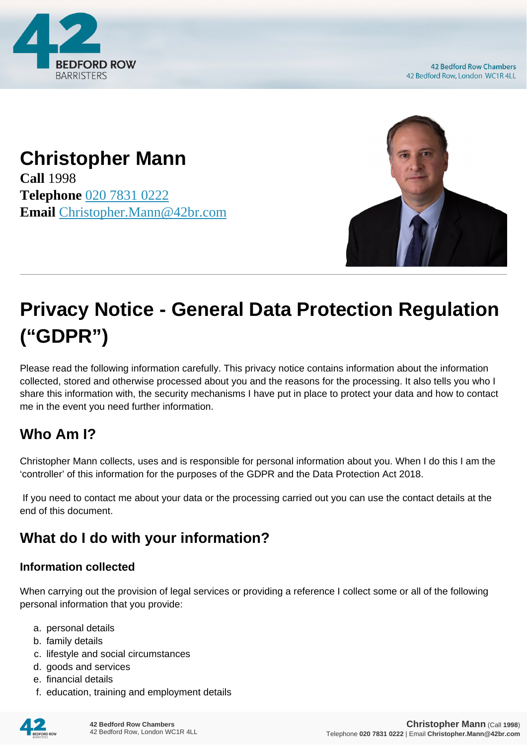

**42 Bedford Row Chambers** 42 Bedford Row, London WC1R 4LL

# **Christopher Mann**

**Call** 1998 **Telephone** [020 7831 0222](https://pdf.codeshore.co/_42br/tel:020 7831 0222) **Email** [Christopher.Mann@42br.com](mailto:Christopher.Mann@42br.com)



# **Privacy Notice - General Data Protection Regulation ("GDPR")**

Please read the following information carefully. This privacy notice contains information about the information collected, stored and otherwise processed about you and the reasons for the processing. It also tells you who I share this information with, the security mechanisms I have put in place to protect your data and how to contact me in the event you need further information.

### **Who Am I?**

Christopher Mann collects, uses and is responsible for personal information about you. When I do this I am the 'controller' of this information for the purposes of the GDPR and the Data Protection Act 2018.

 If you need to contact me about your data or the processing carried out you can use the contact details at the end of this document.

## **What do I do with your information?**

#### **Information collected**

When carrying out the provision of legal services or providing a reference I collect some or all of the following personal information that you provide:

- a. personal details
- b. family details
- c. lifestyle and social circumstances
- d. goods and services
- e. financial details
- f. education, training and employment details

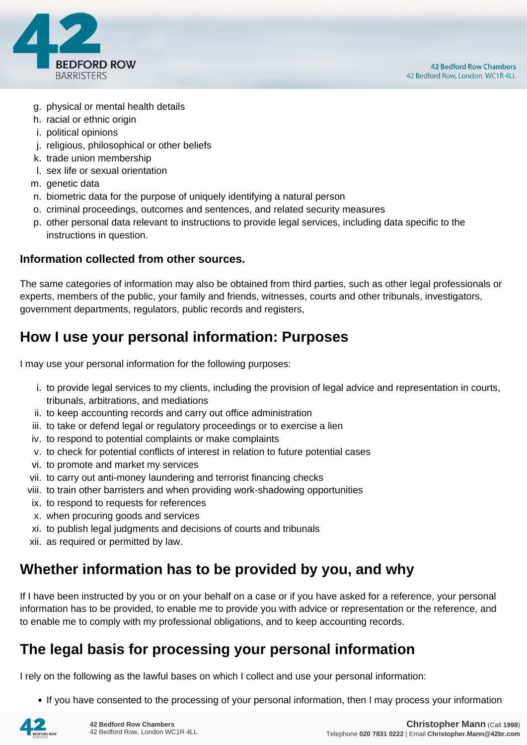

- g. physical or mental health details
- h. racial or ethnic origin
- i. political opinions
- j. religious, philosophical or other beliefs
- k. trade union membership
- l. sex life or sexual orientation
- m. genetic data
- n. biometric data for the purpose of uniquely identifying a natural person
- o. criminal proceedings, outcomes and sentences, and related security measures
- p. other personal data relevant to instructions to provide legal services, including data specific to the instructions in question.

#### **Information collected from other sources.**

The same categories of information may also be obtained from third parties, such as other legal professionals or experts, members of the public, your family and friends, witnesses, courts and other tribunals, investigators, government departments, regulators, public records and registers,

#### **How I use your personal information: Purposes**

I may use your personal information for the following purposes:

- i. to provide legal services to my clients, including the provision of legal advice and representation in courts, tribunals, arbitrations, and mediations
- ii. to keep accounting records and carry out office administration
- iii. to take or defend legal or regulatory proceedings or to exercise a lien
- iv. to respond to potential complaints or make complaints
- v. to check for potential conflicts of interest in relation to future potential cases
- vi. to promote and market my services
- vii. to carry out anti-money laundering and terrorist financing checks
- viii. to train other barristers and when providing work-shadowing opportunities
- ix. to respond to requests for references
- x. when procuring goods and services
- xi. to publish legal judgments and decisions of courts and tribunals
- xii. as required or permitted by law.

#### **Whether information has to be provided by you, and why**

If I have been instructed by you or on your behalf on a case or if you have asked for a reference, your personal information has to be provided, to enable me to provide you with advice or representation or the reference, and to enable me to comply with my professional obligations, and to keep accounting records.

#### **The legal basis for processing your personal information**

I rely on the following as the lawful bases on which I collect and use your personal information:

• If you have consented to the processing of your personal information, then I may process your information

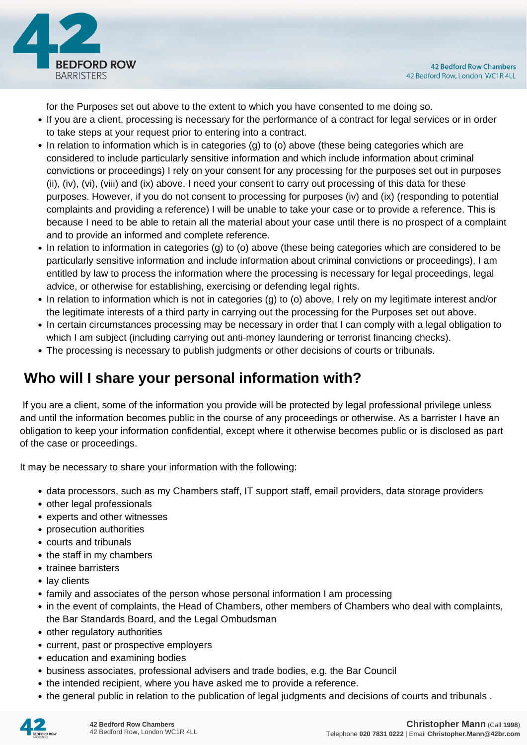

for the Purposes set out above to the extent to which you have consented to me doing so.

- If you are a client, processing is necessary for the performance of a contract for legal services or in order to take steps at your request prior to entering into a contract.
- In relation to information which is in categories (g) to (o) above (these being categories which are considered to include particularly sensitive information and which include information about criminal convictions or proceedings) I rely on your consent for any processing for the purposes set out in purposes (ii), (iv), (vi), (viii) and (ix) above. I need your consent to carry out processing of this data for these purposes. However, if you do not consent to processing for purposes (iv) and (ix) (responding to potential complaints and providing a reference) I will be unable to take your case or to provide a reference. This is because I need to be able to retain all the material about your case until there is no prospect of a complaint and to provide an informed and complete reference.
- In relation to information in categories (g) to (o) above (these being categories which are considered to be particularly sensitive information and include information about criminal convictions or proceedings), I am entitled by law to process the information where the processing is necessary for legal proceedings, legal advice, or otherwise for establishing, exercising or defending legal rights.
- In relation to information which is not in categories (g) to (o) above, I rely on my legitimate interest and/or the legitimate interests of a third party in carrying out the processing for the Purposes set out above.
- In certain circumstances processing may be necessary in order that I can comply with a legal obligation to which I am subject (including carrying out anti-money laundering or terrorist financing checks).
- The processing is necessary to publish judgments or other decisions of courts or tribunals.

### **Who will I share your personal information with?**

 If you are a client, some of the information you provide will be protected by legal professional privilege unless and until the information becomes public in the course of any proceedings or otherwise. As a barrister I have an obligation to keep your information confidential, except where it otherwise becomes public or is disclosed as part of the case or proceedings.

It may be necessary to share your information with the following:

- data processors, such as my Chambers staff, IT support staff, email providers, data storage providers
- other legal professionals
- experts and other witnesses
- prosecution authorities
- courts and tribunals
- the staff in my chambers
- trainee barristers
- lay clients
- family and associates of the person whose personal information I am processing
- in the event of complaints, the Head of Chambers, other members of Chambers who deal with complaints, the Bar Standards Board, and the Legal Ombudsman
- other regulatory authorities
- current, past or prospective employers
- education and examining bodies
- business associates, professional advisers and trade bodies, e.g. the Bar Council
- the intended recipient, where you have asked me to provide a reference.
- the general public in relation to the publication of legal judgments and decisions of courts and tribunals .

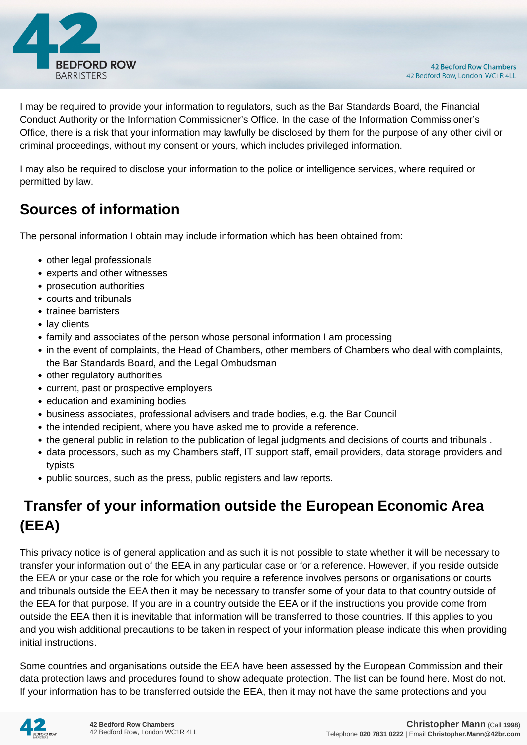

I may be required to provide your information to regulators, such as the Bar Standards Board, the Financial Conduct Authority or the Information Commissioner's Office. In the case of the Information Commissioner's Office, there is a risk that your information may lawfully be disclosed by them for the purpose of any other civil or criminal proceedings, without my consent or yours, which includes privileged information.

I may also be required to disclose your information to the police or intelligence services, where required or permitted by law.

#### **Sources of information**

The personal information I obtain may include information which has been obtained from:

- other legal professionals
- experts and other witnesses
- prosecution authorities
- courts and tribunals
- trainee barristers
- lay clients
- family and associates of the person whose personal information I am processing
- in the event of complaints, the Head of Chambers, other members of Chambers who deal with complaints, the Bar Standards Board, and the Legal Ombudsman
- other regulatory authorities
- current, past or prospective employers
- education and examining bodies
- business associates, professional advisers and trade bodies, e.g. the Bar Council
- the intended recipient, where you have asked me to provide a reference.
- the general public in relation to the publication of legal judgments and decisions of courts and tribunals .
- data processors, such as my Chambers staff, IT support staff, email providers, data storage providers and typists
- public sources, such as the press, public registers and law reports.

## **Transfer of your information outside the European Economic Area (EEA)**

This privacy notice is of general application and as such it is not possible to state whether it will be necessary to transfer your information out of the EEA in any particular case or for a reference. However, if you reside outside the EEA or your case or the role for which you require a reference involves persons or organisations or courts and tribunals outside the EEA then it may be necessary to transfer some of your data to that country outside of the EEA for that purpose. If you are in a country outside the EEA or if the instructions you provide come from outside the EEA then it is inevitable that information will be transferred to those countries. If this applies to you and you wish additional precautions to be taken in respect of your information please indicate this when providing initial instructions.

Some countries and organisations outside the EEA have been assessed by the European Commission and their data protection laws and procedures found to show adequate protection. The list can be found here. Most do not. If your information has to be transferred outside the EEA, then it may not have the same protections and you

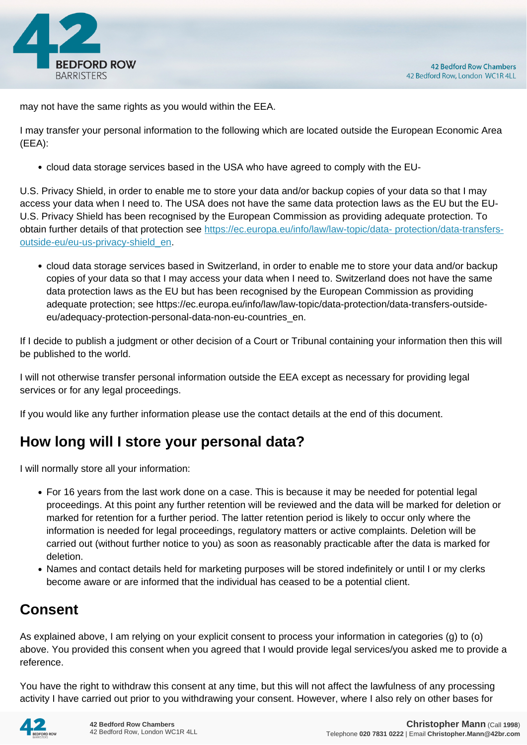

may not have the same rights as you would within the EEA.

I may transfer your personal information to the following which are located outside the European Economic Area (EEA):

cloud data storage services based in the USA who have agreed to comply with the EU-

U.S. Privacy Shield, in order to enable me to store your data and/or backup copies of your data so that I may access your data when I need to. The USA does not have the same data protection laws as the EU but the EU-U.S. Privacy Shield has been recognised by the European Commission as providing adequate protection. To obtain further details of that protection see [https://ec.europa.eu/info/law/law-topic/data- protection/data-transfers](https://ec.europa.eu/info/law/law-topic/data- protection/data-transfers-outside-eu/eu-us-privacy-shield_en)[outside-eu/eu-us-privacy-shield\\_en.](https://ec.europa.eu/info/law/law-topic/data- protection/data-transfers-outside-eu/eu-us-privacy-shield_en)

cloud data storage services based in Switzerland, in order to enable me to store your data and/or backup copies of your data so that I may access your data when I need to. Switzerland does not have the same data protection laws as the EU but has been recognised by the European Commission as providing adequate protection; see https://ec.europa.eu/info/law/law-topic/data-protection/data-transfers-outsideeu/adequacy-protection-personal-data-non-eu-countries\_en.

If I decide to publish a judgment or other decision of a Court or Tribunal containing your information then this will be published to the world.

I will not otherwise transfer personal information outside the EEA except as necessary for providing legal services or for any legal proceedings.

If you would like any further information please use the contact details at the end of this document.

### **How long will I store your personal data?**

I will normally store all your information:

- For 16 years from the last work done on a case. This is because it may be needed for potential legal proceedings. At this point any further retention will be reviewed and the data will be marked for deletion or marked for retention for a further period. The latter retention period is likely to occur only where the information is needed for legal proceedings, regulatory matters or active complaints. Deletion will be carried out (without further notice to you) as soon as reasonably practicable after the data is marked for deletion.
- Names and contact details held for marketing purposes will be stored indefinitely or until I or my clerks become aware or are informed that the individual has ceased to be a potential client.

### **Consent**

As explained above, I am relying on your explicit consent to process your information in categories (g) to (o) above. You provided this consent when you agreed that I would provide legal services/you asked me to provide a reference.

You have the right to withdraw this consent at any time, but this will not affect the lawfulness of any processing activity I have carried out prior to you withdrawing your consent. However, where I also rely on other bases for

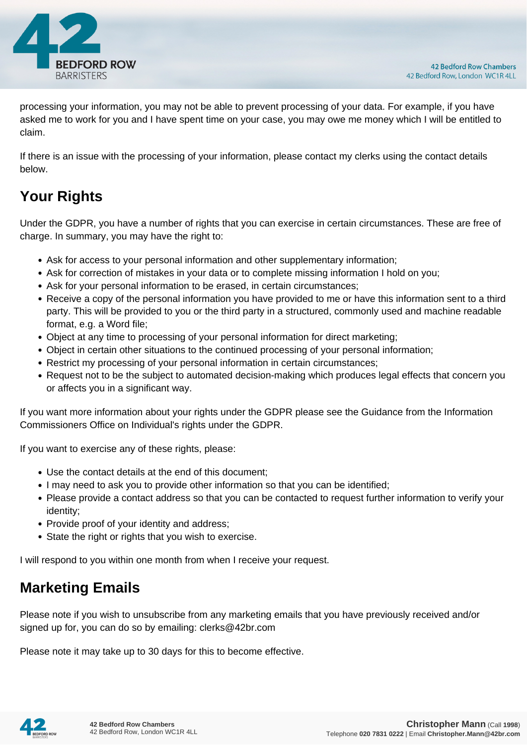

processing your information, you may not be able to prevent processing of your data. For example, if you have asked me to work for you and I have spent time on your case, you may owe me money which I will be entitled to claim.

If there is an issue with the processing of your information, please contact my clerks using the contact details below.

# **Your Rights**

Under the GDPR, you have a number of rights that you can exercise in certain circumstances. These are free of charge. In summary, you may have the right to:

- Ask for access to your personal information and other supplementary information;
- Ask for correction of mistakes in your data or to complete missing information I hold on you;
- Ask for your personal information to be erased, in certain circumstances;
- Receive a copy of the personal information you have provided to me or have this information sent to a third party. This will be provided to you or the third party in a structured, commonly used and machine readable format, e.g. a Word file;
- Object at any time to processing of your personal information for direct marketing;
- Object in certain other situations to the continued processing of your personal information;
- Restrict my processing of your personal information in certain circumstances;
- Request not to be the subject to automated decision-making which produces legal effects that concern you or affects you in a significant way.

If you want more information about your rights under the GDPR please see the Guidance from the Information Commissioners Office on Individual's rights under the GDPR.

If you want to exercise any of these rights, please:

- Use the contact details at the end of this document;
- I may need to ask you to provide other information so that you can be identified;
- Please provide a contact address so that you can be contacted to request further information to verify your identity;
- Provide proof of your identity and address;
- State the right or rights that you wish to exercise.

I will respond to you within one month from when I receive your request.

#### **Marketing Emails**

Please note if you wish to unsubscribe from any marketing emails that you have previously received and/or signed up for, you can do so by emailing: clerks@42br.com

Please note it may take up to 30 days for this to become effective.